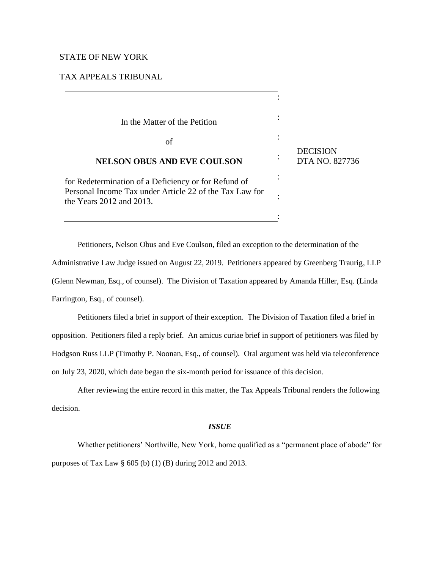# STATE OF NEW YORK

TAX APPEALS TRIBUNAL

| In the Matter of the Petition                                                            |                                   |
|------------------------------------------------------------------------------------------|-----------------------------------|
| of                                                                                       |                                   |
| <b>NELSON OBUS AND EVE COULSON</b>                                                       | <b>DECISION</b><br>DTA NO. 827736 |
| for Redetermination of a Deficiency or for Refund of                                     |                                   |
| Personal Income Tax under Article 22 of the Tax Law for<br>the Years $2012$ and $2013$ . |                                   |
|                                                                                          |                                   |

Petitioners, Nelson Obus and Eve Coulson, filed an exception to the determination of the Administrative Law Judge issued on August 22, 2019. Petitioners appeared by Greenberg Traurig, LLP (Glenn Newman, Esq., of counsel). The Division of Taxation appeared by Amanda Hiller, Esq. (Linda Farrington, Esq., of counsel).

Petitioners filed a brief in support of their exception. The Division of Taxation filed a brief in opposition. Petitioners filed a reply brief. An amicus curiae brief in support of petitioners was filed by Hodgson Russ LLP (Timothy P. Noonan, Esq., of counsel). Oral argument was held via teleconference on July 23, 2020, which date began the six-month period for issuance of this decision.

After reviewing the entire record in this matter, the Tax Appeals Tribunal renders the following decision.

### *ISSUE*

Whether petitioners' Northville, New York, home qualified as a "permanent place of abode" for purposes of Tax Law § 605 (b) (1) (B) during 2012 and 2013.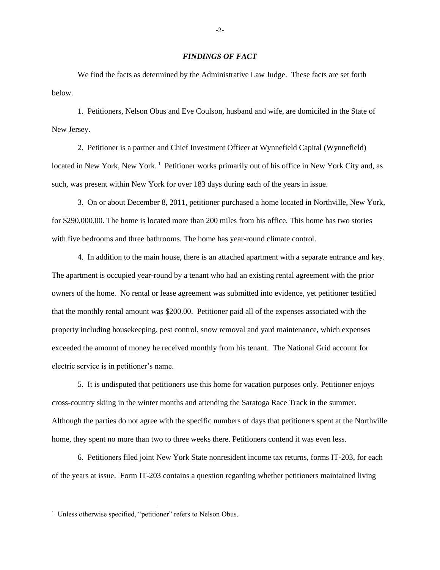## *FINDINGS OF FACT*

We find the facts as determined by the Administrative Law Judge. These facts are set forth below.

1. Petitioners, Nelson Obus and Eve Coulson, husband and wife, are domiciled in the State of New Jersey.

2. Petitioner is a partner and Chief Investment Officer at Wynnefield Capital (Wynnefield) located in New York, New York.<sup>1</sup> Petitioner works primarily out of his office in New York City and, as such, was present within New York for over 183 days during each of the years in issue.

3. On or about December 8, 2011, petitioner purchased a home located in Northville, New York, for \$290,000.00. The home is located more than 200 miles from his office. This home has two stories with five bedrooms and three bathrooms. The home has year-round climate control.

4. In addition to the main house, there is an attached apartment with a separate entrance and key. The apartment is occupied year-round by a tenant who had an existing rental agreement with the prior owners of the home. No rental or lease agreement was submitted into evidence, yet petitioner testified that the monthly rental amount was \$200.00. Petitioner paid all of the expenses associated with the property including housekeeping, pest control, snow removal and yard maintenance, which expenses exceeded the amount of money he received monthly from his tenant. The National Grid account for electric service is in petitioner's name.

5. It is undisputed that petitioners use this home for vacation purposes only. Petitioner enjoys cross-country skiing in the winter months and attending the Saratoga Race Track in the summer. Although the parties do not agree with the specific numbers of days that petitioners spent at the Northville home, they spent no more than two to three weeks there. Petitioners contend it was even less.

6. Petitioners filed joint New York State nonresident income tax returns, forms IT-203, for each of the years at issue. Form IT-203 contains a question regarding whether petitioners maintained living

<sup>&</sup>lt;sup>1</sup> Unless otherwise specified, "petitioner" refers to Nelson Obus.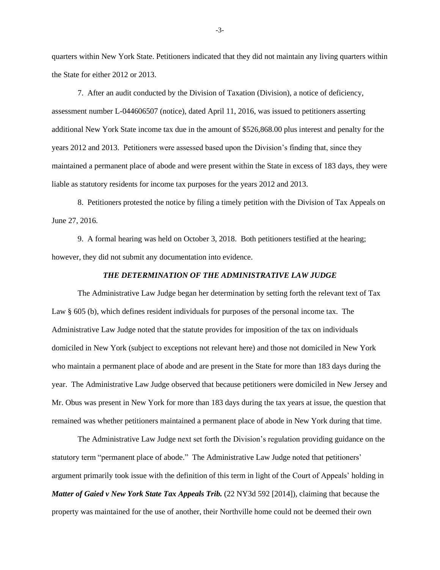quarters within New York State. Petitioners indicated that they did not maintain any living quarters within the State for either 2012 or 2013.

7. After an audit conducted by the Division of Taxation (Division), a notice of deficiency, assessment number L-044606507 (notice), dated April 11, 2016, was issued to petitioners asserting additional New York State income tax due in the amount of \$526,868.00 plus interest and penalty for the years 2012 and 2013. Petitioners were assessed based upon the Division's finding that, since they maintained a permanent place of abode and were present within the State in excess of 183 days, they were liable as statutory residents for income tax purposes for the years 2012 and 2013.

8. Petitioners protested the notice by filing a timely petition with the Division of Tax Appeals on June 27, 2016.

9. A formal hearing was held on October 3, 2018. Both petitioners testified at the hearing; however, they did not submit any documentation into evidence.

### *THE DETERMINATION OF THE ADMINISTRATIVE LAW JUDGE*

The Administrative Law Judge began her determination by setting forth the relevant text of Tax Law § 605 (b), which defines resident individuals for purposes of the personal income tax. The Administrative Law Judge noted that the statute provides for imposition of the tax on individuals domiciled in New York (subject to exceptions not relevant here) and those not domiciled in New York who maintain a permanent place of abode and are present in the State for more than 183 days during the year. The Administrative Law Judge observed that because petitioners were domiciled in New Jersey and Mr. Obus was present in New York for more than 183 days during the tax years at issue, the question that remained was whether petitioners maintained a permanent place of abode in New York during that time.

The Administrative Law Judge next set forth the Division's regulation providing guidance on the statutory term "permanent place of abode." The Administrative Law Judge noted that petitioners' argument primarily took issue with the definition of this term in light of the Court of Appeals' holding in *Matter of Gaied v New York State Tax Appeals Trib.* (22 NY3d 592 [2014]), claiming that because the property was maintained for the use of another, their Northville home could not be deemed their own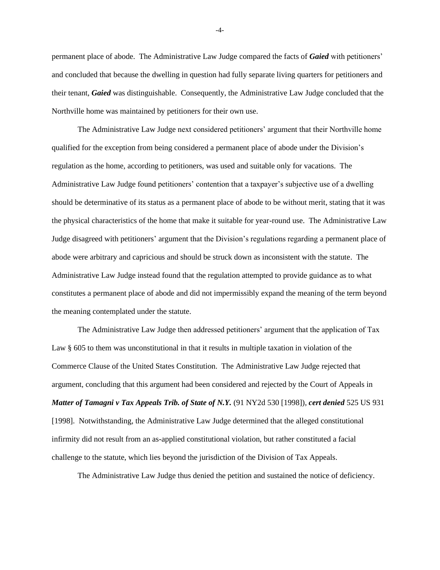permanent place of abode. The Administrative Law Judge compared the facts of *Gaied* with petitioners' and concluded that because the dwelling in question had fully separate living quarters for petitioners and their tenant, *Gaied* was distinguishable. Consequently, the Administrative Law Judge concluded that the Northville home was maintained by petitioners for their own use.

The Administrative Law Judge next considered petitioners' argument that their Northville home qualified for the exception from being considered a permanent place of abode under the Division's regulation as the home, according to petitioners, was used and suitable only for vacations. The Administrative Law Judge found petitioners' contention that a taxpayer's subjective use of a dwelling should be determinative of its status as a permanent place of abode to be without merit, stating that it was the physical characteristics of the home that make it suitable for year-round use. The Administrative Law Judge disagreed with petitioners' argument that the Division's regulations regarding a permanent place of abode were arbitrary and capricious and should be struck down as inconsistent with the statute. The Administrative Law Judge instead found that the regulation attempted to provide guidance as to what constitutes a permanent place of abode and did not impermissibly expand the meaning of the term beyond the meaning contemplated under the statute.

The Administrative Law Judge then addressed petitioners' argument that the application of Tax Law § 605 to them was unconstitutional in that it results in multiple taxation in violation of the Commerce Clause of the United States Constitution. The Administrative Law Judge rejected that argument, concluding that this argument had been considered and rejected by the Court of Appeals in *Matter of Tamagni v Tax Appeals Trib. of State of N.Y.* (91 NY2d 530 [1998]), *cert denied* 525 US 931 [1998]. Notwithstanding, the Administrative Law Judge determined that the alleged constitutional infirmity did not result from an as-applied constitutional violation, but rather constituted a facial challenge to the statute, which lies beyond the jurisdiction of the Division of Tax Appeals.

The Administrative Law Judge thus denied the petition and sustained the notice of deficiency.

-4-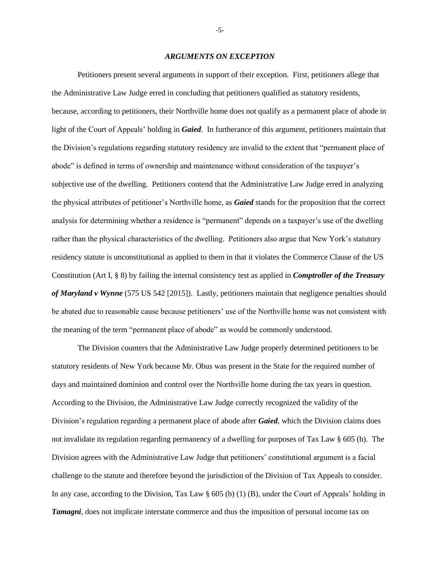#### *ARGUMENTS ON EXCEPTION*

Petitioners present several arguments in support of their exception. First, petitioners allege that the Administrative Law Judge erred in concluding that petitioners qualified as statutory residents, because, according to petitioners, their Northville home does not qualify as a permanent place of abode in light of the Court of Appeals' holding in *Gaied*. In furtherance of this argument, petitioners maintain that the Division's regulations regarding statutory residency are invalid to the extent that "permanent place of abode" is defined in terms of ownership and maintenance without consideration of the taxpayer's subjective use of the dwelling. Petitioners contend that the Administrative Law Judge erred in analyzing the physical attributes of petitioner's Northville home, as *Gaied* stands for the proposition that the correct analysis for determining whether a residence is "permanent" depends on a taxpayer's use of the dwelling rather than the physical characteristics of the dwelling. Petitioners also argue that New York's statutory residency statute is unconstitutional as applied to them in that it violates the Commerce Clause of the US Constitution (Art I, § 8) by failing the internal consistency test as applied in *Comptroller of the Treasury of Maryland v Wynne* (575 US 542 [2015]). Lastly, petitioners maintain that negligence penalties should be abated due to reasonable cause because petitioners' use of the Northville home was not consistent with the meaning of the term "permanent place of abode" as would be commonly understood.

The Division counters that the Administrative Law Judge properly determined petitioners to be statutory residents of New York because Mr. Obus was present in the State for the required number of days and maintained dominion and control over the Northville home during the tax years in question. According to the Division, the Administrative Law Judge correctly recognized the validity of the Division's regulation regarding a permanent place of abode after *Gaied*, which the Division claims does not invalidate its regulation regarding permanency of a dwelling for purposes of Tax Law § 605 (b). The Division agrees with the Administrative Law Judge that petitioners' constitutional argument is a facial challenge to the statute and therefore beyond the jurisdiction of the Division of Tax Appeals to consider. In any case, according to the Division, Tax Law § 605 (b) (1) (B), under the Court of Appeals' holding in *Tamagni*, does not implicate interstate commerce and thus the imposition of personal income tax on

-5-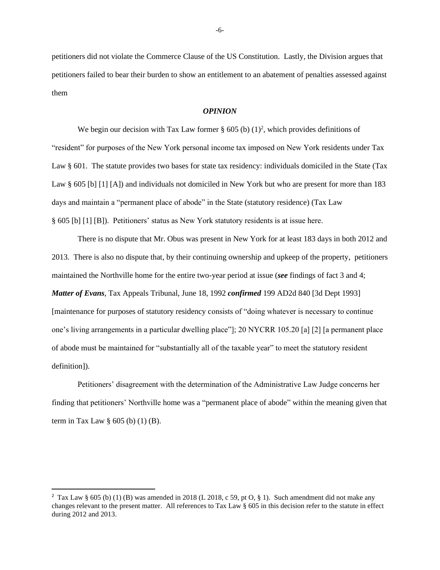petitioners did not violate the Commerce Clause of the US Constitution. Lastly, the Division argues that petitioners failed to bear their burden to show an entitlement to an abatement of penalties assessed against them

### *OPINION*

We begin our decision with Tax Law former  $\S 605$  (b)  $(1)^2$ , which provides definitions of "resident" for purposes of the New York personal income tax imposed on New York residents under Tax Law § 601. The statute provides two bases for state tax residency: individuals domiciled in the State (Tax Law § 605 [b] [1] [A]) and individuals not domiciled in New York but who are present for more than 183 days and maintain a "permanent place of abode" in the State (statutory residence) (Tax Law § 605 [b] [1] [B]). Petitioners' status as New York statutory residents is at issue here.

There is no dispute that Mr. Obus was present in New York for at least 183 days in both 2012 and 2013. There is also no dispute that, by their continuing ownership and upkeep of the property, petitioners maintained the Northville home for the entire two-year period at issue (*see* findings of fact 3 and 4; *Matter of Evans*, Tax Appeals Tribunal, June 18, 1992 *confirmed* 199 AD2d 840 [3d Dept 1993] [maintenance for purposes of statutory residency consists of "doing whatever is necessary to continue one's living arrangements in a particular dwelling place"]; 20 NYCRR 105.20 [a] [2] [a permanent place of abode must be maintained for "substantially all of the taxable year" to meet the statutory resident definition]).

Petitioners' disagreement with the determination of the Administrative Law Judge concerns her finding that petitioners' Northville home was a "permanent place of abode" within the meaning given that term in Tax Law  $\S$  605 (b) (1) (B).

<sup>&</sup>lt;sup>2</sup> Tax Law § 605 (b) (1) (B) was amended in 2018 (L 2018, c 59, pt O, § 1). Such amendment did not make any changes relevant to the present matter. All references to Tax Law § 605 in this decision refer to the statute in effect during 2012 and 2013.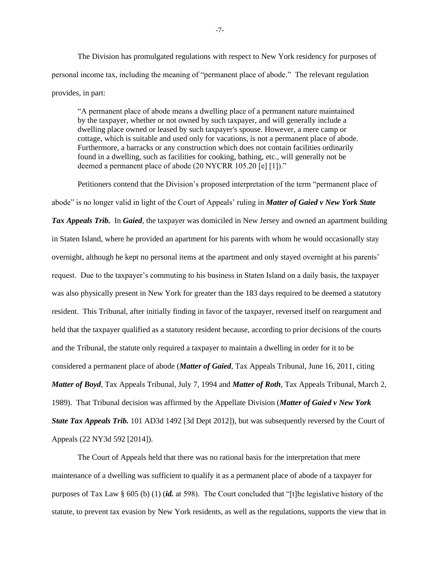The Division has promulgated regulations with respect to New York residency for purposes of personal income tax, including the meaning of "permanent place of abode." The relevant regulation provides, in part:

"A permanent place of abode means a dwelling place of a permanent nature maintained by the taxpayer, whether or not owned by such taxpayer, and will generally include a dwelling place owned or leased by such taxpayer's spouse. However, a mere camp or cottage, which is suitable and used only for vacations, is not a permanent place of abode. Furthermore, a barracks or any construction which does not contain facilities ordinarily found in a dwelling, such as facilities for cooking, bathing, etc., will generally not be deemed a permanent place of abode (20 NYCRR 105.20 [e] [1])."

Petitioners contend that the Division's proposed interpretation of the term "permanent place of abode" is no longer valid in light of the Court of Appeals' ruling in *Matter of Gaied v New York State Tax Appeals Trib.* In *Gaied*, the taxpayer was domiciled in New Jersey and owned an apartment building in Staten Island, where he provided an apartment for his parents with whom he would occasionally stay overnight, although he kept no personal items at the apartment and only stayed overnight at his parents' request. Due to the taxpayer's commuting to his business in Staten Island on a daily basis, the taxpayer was also physically present in New York for greater than the 183 days required to be deemed a statutory resident. This Tribunal, after initially finding in favor of the taxpayer, reversed itself on reargument and held that the taxpayer qualified as a statutory resident because, according to prior decisions of the courts and the Tribunal, the statute only required a taxpayer to maintain a dwelling in order for it to be considered a permanent place of abode (*Matter of Gaied*, Tax Appeals Tribunal, June 16, 2011, citing *Matter of Boyd*, Tax Appeals Tribunal, July 7, 1994 and *Matter of Roth*, Tax Appeals Tribunal, March 2, 1989). That Tribunal decision was affirmed by the Appellate Division (*Matter of Gaied v New York State Tax Appeals Trib.* 101 AD3d 1492 [3d Dept 2012]), but was subsequently reversed by the Court of Appeals (22 NY3d 592 [2014]).

The Court of Appeals held that there was no rational basis for the interpretation that mere maintenance of a dwelling was sufficient to qualify it as a permanent place of abode of a taxpayer for purposes of Tax Law § 605 (b) (1) (*id.* at 598). The Court concluded that "[t]he legislative history of the statute, to prevent tax evasion by New York residents, as well as the regulations, supports the view that in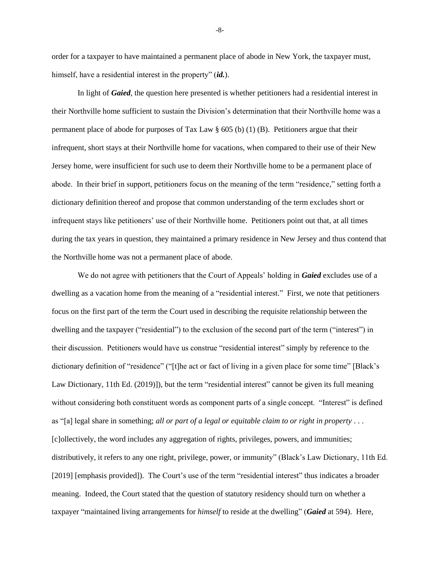order for a taxpayer to have maintained a permanent place of abode in New York, the taxpayer must, himself, have a residential interest in the property" (*id.*).

In light of *Gaied*, the question here presented is whether petitioners had a residential interest in their Northville home sufficient to sustain the Division's determination that their Northville home was a permanent place of abode for purposes of Tax Law  $\S$  605 (b) (1) (B). Petitioners argue that their infrequent, short stays at their Northville home for vacations, when compared to their use of their New Jersey home, were insufficient for such use to deem their Northville home to be a permanent place of abode. In their brief in support, petitioners focus on the meaning of the term "residence," setting forth a dictionary definition thereof and propose that common understanding of the term excludes short or infrequent stays like petitioners' use of their Northville home. Petitioners point out that, at all times during the tax years in question, they maintained a primary residence in New Jersey and thus contend that the Northville home was not a permanent place of abode.

We do not agree with petitioners that the Court of Appeals' holding in *Gaied* excludes use of a dwelling as a vacation home from the meaning of a "residential interest." First, we note that petitioners focus on the first part of the term the Court used in describing the requisite relationship between the dwelling and the taxpayer ("residential") to the exclusion of the second part of the term ("interest") in their discussion. Petitioners would have us construe "residential interest" simply by reference to the dictionary definition of "residence" ("[t]he act or fact of living in a given place for some time" [Black's Law Dictionary, 11th Ed. (2019)]), but the term "residential interest" cannot be given its full meaning without considering both constituent words as component parts of a single concept. "Interest" is defined as "[a] legal share in something; *all or part of a legal or equitable claim to or right in property* . . . [c]ollectively, the word includes any aggregation of rights, privileges, powers, and immunities; distributively, it refers to any one right, privilege, power, or immunity" (Black's Law Dictionary, 11th Ed. [2019] [emphasis provided]). The Court's use of the term "residential interest" thus indicates a broader meaning. Indeed, the Court stated that the question of statutory residency should turn on whether a taxpayer "maintained living arrangements for *himself* to reside at the dwelling" (*Gaied* at 594). Here,

-8-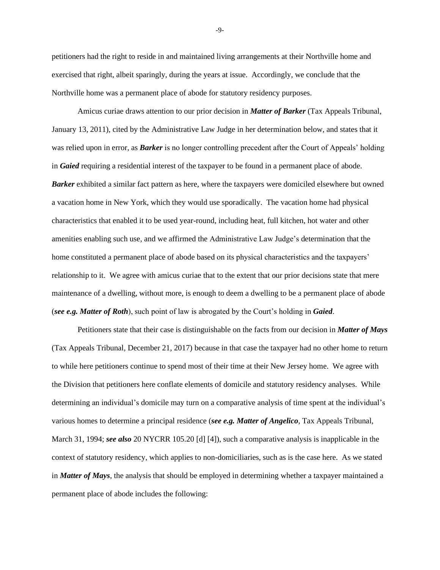petitioners had the right to reside in and maintained living arrangements at their Northville home and exercised that right, albeit sparingly, during the years at issue. Accordingly, we conclude that the Northville home was a permanent place of abode for statutory residency purposes.

Amicus curiae draws attention to our prior decision in *Matter of Barker* (Tax Appeals Tribunal, January 13, 2011), cited by the Administrative Law Judge in her determination below, and states that it was relied upon in error, as *Barker* is no longer controlling precedent after the Court of Appeals' holding in *Gaied* requiring a residential interest of the taxpayer to be found in a permanent place of abode. *Barker* exhibited a similar fact pattern as here, where the taxpayers were domiciled elsewhere but owned a vacation home in New York, which they would use sporadically. The vacation home had physical characteristics that enabled it to be used year-round, including heat, full kitchen, hot water and other amenities enabling such use, and we affirmed the Administrative Law Judge's determination that the home constituted a permanent place of abode based on its physical characteristics and the taxpayers' relationship to it. We agree with amicus curiae that to the extent that our prior decisions state that mere maintenance of a dwelling, without more, is enough to deem a dwelling to be a permanent place of abode (*see e.g. Matter of Roth*), such point of law is abrogated by the Court's holding in *Gaied*.

Petitioners state that their case is distinguishable on the facts from our decision in *Matter of Mays* (Tax Appeals Tribunal, December 21, 2017) because in that case the taxpayer had no other home to return to while here petitioners continue to spend most of their time at their New Jersey home. We agree with the Division that petitioners here conflate elements of domicile and statutory residency analyses. While determining an individual's domicile may turn on a comparative analysis of time spent at the individual's various homes to determine a principal residence (*see e.g. Matter of Angelico*, Tax Appeals Tribunal, March 31, 1994; *see also* 20 NYCRR 105.20 [d] [4]), such a comparative analysis is inapplicable in the context of statutory residency, which applies to non-domiciliaries, such as is the case here. As we stated in *Matter of Mays*, the analysis that should be employed in determining whether a taxpayer maintained a permanent place of abode includes the following:

-9-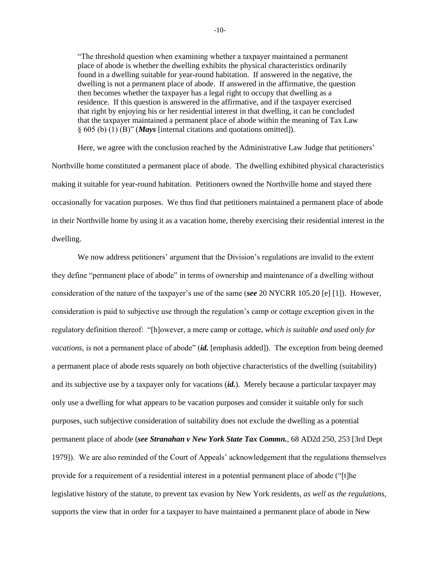"The threshold question when examining whether a taxpayer maintained a permanent place of abode is whether the dwelling exhibits the physical characteristics ordinarily found in a dwelling suitable for year-round habitation. If answered in the negative, the dwelling is not a permanent place of abode. If answered in the affirmative, the question then becomes whether the taxpayer has a legal right to occupy that dwelling as a residence. If this question is answered in the affirmative, and if the taxpayer exercised that right by enjoying his or her residential interest in that dwelling, it can be concluded that the taxpayer maintained a permanent place of abode within the meaning of Tax Law § 605 (b) (1) (B)" (*Mays* [internal citations and quotations omitted]).

Here, we agree with the conclusion reached by the Administrative Law Judge that petitioners' Northville home constituted a permanent place of abode. The dwelling exhibited physical characteristics making it suitable for year-round habitation. Petitioners owned the Northville home and stayed there occasionally for vacation purposes. We thus find that petitioners maintained a permanent place of abode in their Northville home by using it as a vacation home, thereby exercising their residential interest in the dwelling.

We now address petitioners' argument that the Division's regulations are invalid to the extent they define "permanent place of abode" in terms of ownership and maintenance of a dwelling without consideration of the nature of the taxpayer's use of the same (*see* 20 NYCRR 105.20 [e] [1]). However, consideration is paid to subjective use through the regulation's camp or cottage exception given in the regulatory definition thereof: "[h]owever, a mere camp or cottage, *which is suitable and used only for vacations*, is not a permanent place of abode" (*id.* [emphasis added]). The exception from being deemed a permanent place of abode rests squarely on both objective characteristics of the dwelling (suitability) and its subjective use by a taxpayer only for vacations (*id.*). Merely because a particular taxpayer may only use a dwelling for what appears to be vacation purposes and consider it suitable only for such purposes, such subjective consideration of suitability does not exclude the dwelling as a potential permanent place of abode (*see Stranahan v New York State Tax Commn.*, 68 AD2d 250, 253 [3rd Dept 1979]). We are also reminded of the Court of Appeals' acknowledgement that the regulations themselves provide for a requirement of a residential interest in a potential permanent place of abode ("[t]he legislative history of the statute, to prevent tax evasion by New York residents, *as well as the regulations*, supports the view that in order for a taxpayer to have maintained a permanent place of abode in New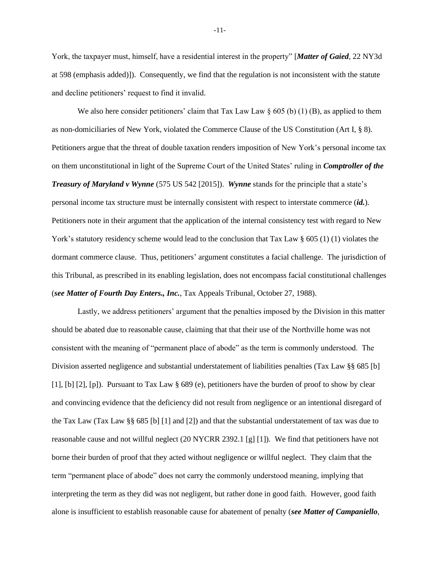York, the taxpayer must, himself, have a residential interest in the property" [*Matter of Gaied*, 22 NY3d at 598 (emphasis added)]). Consequently, we find that the regulation is not inconsistent with the statute and decline petitioners' request to find it invalid.

We also here consider petitioners' claim that Tax Law Law  $\S 605$  (b) (1) (B), as applied to them as non-domiciliaries of New York, violated the Commerce Clause of the US Constitution (Art I, § 8). Petitioners argue that the threat of double taxation renders imposition of New York's personal income tax on them unconstitutional in light of the Supreme Court of the United States' ruling in *Comptroller of the Treasury of Maryland v Wynne* (575 US 542 [2015]). *Wynne* stands for the principle that a state's personal income tax structure must be internally consistent with respect to interstate commerce (*id.*). Petitioners note in their argument that the application of the internal consistency test with regard to New York's statutory residency scheme would lead to the conclusion that Tax Law § 605 (1) (1) violates the dormant commerce clause. Thus, petitioners' argument constitutes a facial challenge. The jurisdiction of this Tribunal, as prescribed in its enabling legislation, does not encompass facial constitutional challenges (*see Matter of Fourth Day Enters., Inc.*, Tax Appeals Tribunal, October 27, 1988).

Lastly, we address petitioners' argument that the penalties imposed by the Division in this matter should be abated due to reasonable cause, claiming that that their use of the Northville home was not consistent with the meaning of "permanent place of abode" as the term is commonly understood. The Division asserted negligence and substantial understatement of liabilities penalties (Tax Law §§ 685 [b] [1], [b] [2], [p]). Pursuant to Tax Law § 689 (e), petitioners have the burden of proof to show by clear and convincing evidence that the deficiency did not result from negligence or an intentional disregard of the Tax Law (Tax Law §§ 685 [b] [1] and [2]) and that the substantial understatement of tax was due to reasonable cause and not willful neglect (20 NYCRR 2392.1 [g] [1]). We find that petitioners have not borne their burden of proof that they acted without negligence or willful neglect. They claim that the term "permanent place of abode" does not carry the commonly understood meaning, implying that interpreting the term as they did was not negligent, but rather done in good faith. However, good faith alone is insufficient to establish reasonable cause for abatement of penalty (*see Matter of Campaniello*,

-11-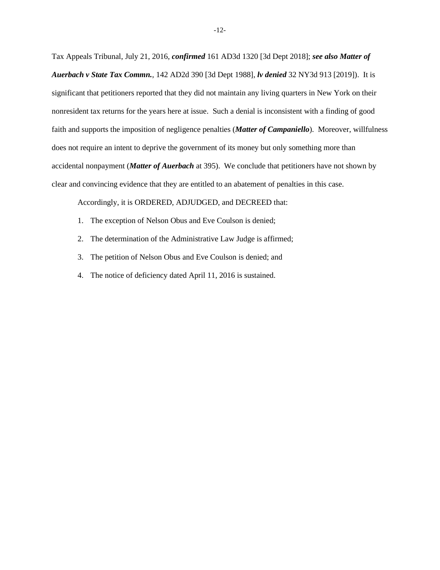Tax Appeals Tribunal, July 21, 2016, *confirmed* 161 AD3d 1320 [3d Dept 2018]; *see also Matter of Auerbach v State Tax Commn.*, 142 AD2d 390 [3d Dept 1988], *lv denied* 32 NY3d 913 [2019]). It is significant that petitioners reported that they did not maintain any living quarters in New York on their nonresident tax returns for the years here at issue. Such a denial is inconsistent with a finding of good faith and supports the imposition of negligence penalties (*Matter of Campaniello*). Moreover, willfulness does not require an intent to deprive the government of its money but only something more than accidental nonpayment (*Matter of Auerbach* at 395). We conclude that petitioners have not shown by clear and convincing evidence that they are entitled to an abatement of penalties in this case.

Accordingly, it is ORDERED, ADJUDGED, and DECREED that:

- 1. The exception of Nelson Obus and Eve Coulson is denied;
- 2. The determination of the Administrative Law Judge is affirmed;
- 3. The petition of Nelson Obus and Eve Coulson is denied; and
- 4. The notice of deficiency dated April 11, 2016 is sustained.